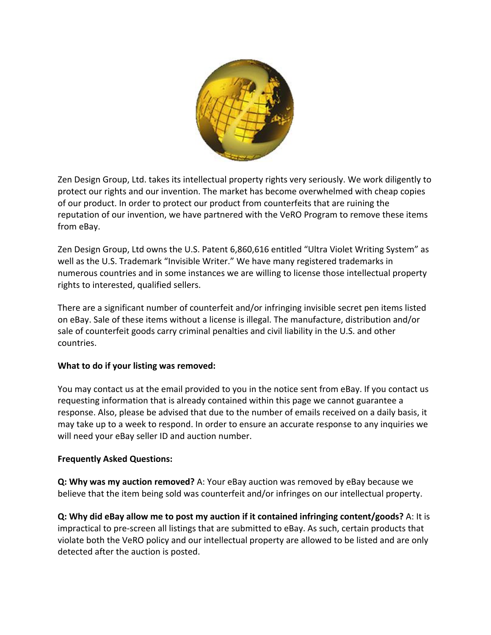

Zen Design Group, Ltd. takes its intellectual property rights very seriously. We work diligently to protect our rights and our invention. The market has become overwhelmed with cheap copies of our product. In order to protect our product from counterfeits that are ruining the reputation of our invention, we have partnered with the VeRO Program to remove these items from eBay.

Zen Design Group, Ltd owns the U.S. Patent 6,860,616 entitled "Ultra Violet Writing System" as well as the U.S. Trademark "Invisible Writer." We have many registered trademarks in numerous countries and in some instances we are willing to license those intellectual property rights to interested, qualified sellers.

There are a significant number of counterfeit and/or infringing invisible secret pen items listed on eBay. Sale of these items without a license is illegal. The manufacture, distribution and/or sale of counterfeit goods carry criminal penalties and civil liability in the U.S. and other countries.

## **What to do if your listing was removed:**

You may contact us at the email provided to you in the notice sent from eBay. If you contact us requesting information that is already contained within this page we cannot guarantee a response. Also, please be advised that due to the number of emails received on a daily basis, it may take up to a week to respond. In order to ensure an accurate response to any inquiries we will need your eBay seller ID and auction number.

## **Frequently Asked Questions:**

**Q: Why was my auction removed?** A: Your eBay auction was removed by eBay because we believe that the item being sold was counterfeit and/or infringes on our intellectual property.

**Q: Why did eBay allow me to post my auction if it contained infringing content/goods?** A: It is impractical to pre-screen all listings that are submitted to eBay. As such, certain products that violate both the VeRO policy and our intellectual property are allowed to be listed and are only detected after the auction is posted.